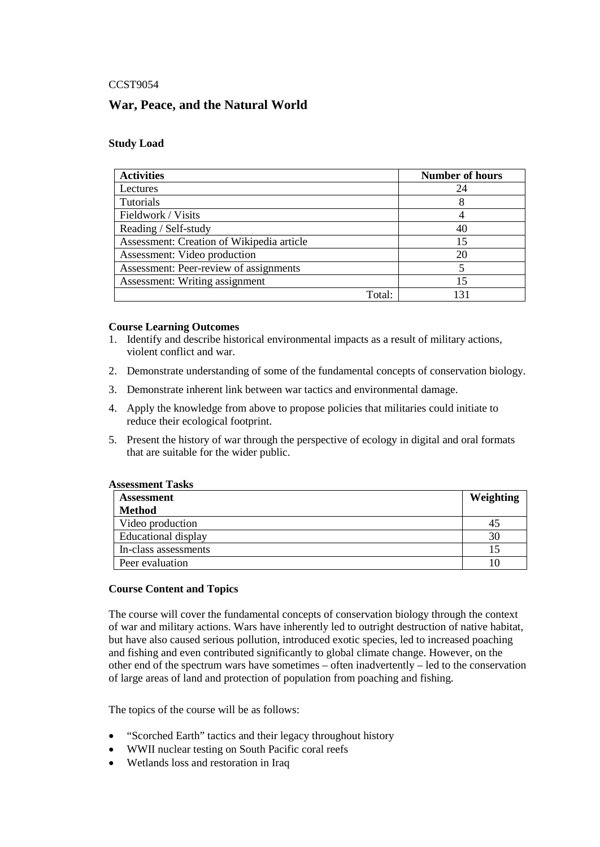## CCST9054

# **War, Peace, and the Natural World**

## **Study Load**

| <b>Activities</b>                         | <b>Number of hours</b> |
|-------------------------------------------|------------------------|
| Lectures                                  | 24                     |
| Tutorials                                 |                        |
| Fieldwork / Visits                        |                        |
| Reading / Self-study                      | 40                     |
| Assessment: Creation of Wikipedia article | 15                     |
| Assessment: Video production              | 20                     |
| Assessment: Peer-review of assignments    |                        |
| Assessment: Writing assignment            | 15                     |
| Total:                                    |                        |

#### **Course Learning Outcomes**

- 1. Identify and describe historical environmental impacts as a result of military actions, violent conflict and war.
- 2. Demonstrate understanding of some of the fundamental concepts of conservation biology.
- 3. Demonstrate inherent link between war tactics and environmental damage.
- 4. Apply the knowledge from above to propose policies that militaries could initiate to reduce their ecological footprint.
- 5. Present the history of war through the perspective of ecology in digital and oral formats that are suitable for the wider public.

#### **Assessment Tasks**

| <b>Assessment</b>          | Weighting |
|----------------------------|-----------|
| <b>Method</b>              |           |
| Video production           | 45        |
| <b>Educational display</b> | 30        |
| In-class assessments       |           |
| Peer evaluation            |           |

# **Course Content and Topics**

The course will cover the fundamental concepts of conservation biology through the context of war and military actions. Wars have inherently led to outright destruction of native habitat, but have also caused serious pollution, introduced exotic species, led to increased poaching and fishing and even contributed significantly to global climate change. However, on the other end of the spectrum wars have sometimes – often inadvertently – led to the conservation of large areas of land and protection of population from poaching and fishing.

The topics of the course will be as follows:

- "Scorched Earth" tactics and their legacy throughout history
- WWII nuclear testing on South Pacific coral reefs
- Wetlands loss and restoration in Iraq